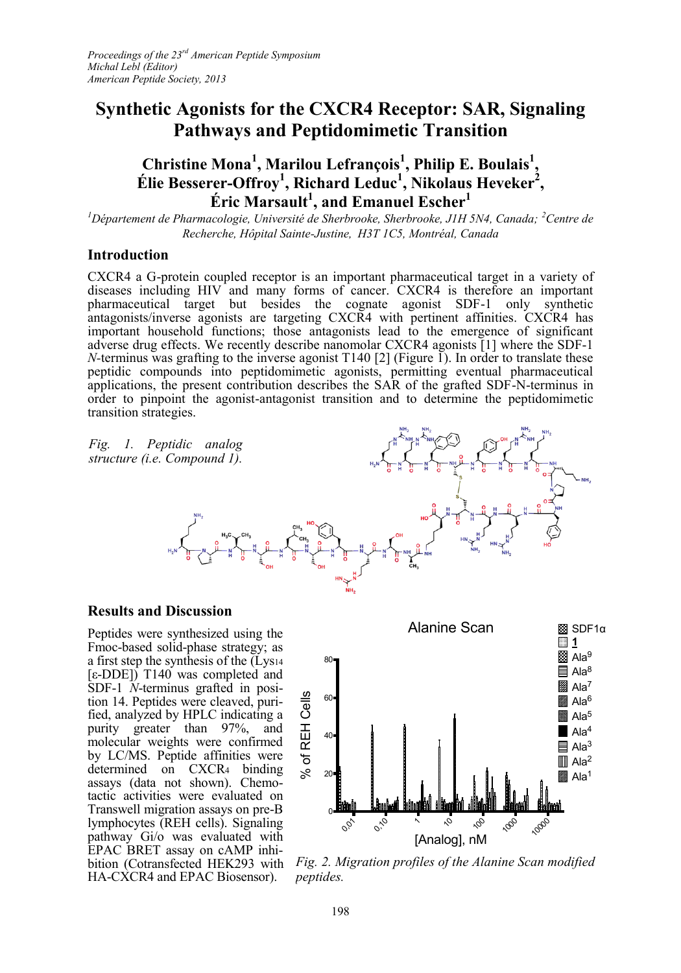# **Synthetic Agonists for the CXCR4 Receptor: SAR, Signaling Pathways and Peptidomimetic Transition**

## **Christine Mona<sup>1</sup> , Marilou Lefrançois<sup>1</sup> , Philip E. Boulais<sup>1</sup> , Élie Besserer-Offroy<sup>1</sup> , Richard Leduc<sup>1</sup> , Nikolaus Heveker<sup>2</sup> , Éric Marsault<sup>1</sup> , and Emanuel Escher<sup>1</sup>**

<sup>1</sup>*Département de Pharmacologie, Université de Sherbrooke, Sherbrooke, J1H 5N4, Canada; <sup>2</sup>Centre de Recherche, Hôpital Sainte-Justine, H3T 1C5, Montréal, Canada*

## **Introduction**

CXCR4 a G-protein coupled receptor is an important pharmaceutical target in a variety of diseases including HIV and many forms of cancer. CXCR4 is therefore an important pharmaceutical target but besides the cognate agonist SDF-1 only synthetic antagonists/inverse agonists are targeting CXCR4 with pertinent affinities. CXCR4 has important household functions; those antagonists lead to the emergence of significant adverse drug effects. We recently describe nanomolar CXCR4 agonists [1] where the SDF-1 *N*-terminus was grafting to the inverse agonist T140 [2] (Figure 1). In order to translate these peptidic compounds into peptidomimetic agonists, permitting eventual pharmaceutical applications, the present contribution describes the SAR of the grafted SDF-N-terminus in order to pinpoint the agonist-antagonist transition and to determine the peptidomimetic transition strategies.

*Fig. 1. Peptidic analog structure (i.e. Compound 1).*



### **Results and Discussion**

Peptides were synthesized using the Fmoc-based solid-phase strategy; as a first step the synthesis of the (Lys<sup>14</sup> [ε-DDE]) T140 was completed and SDF-1 *N*-terminus grafted in position 14. Peptides were cleaved, purified, analyzed by HPLC indicating a purity greater than 97%, and molecular weights were confirmed by LC/MS. Peptide affinities were determined on CXCR<sup>4</sup> binding assays (data not shown). Chemotactic activities were evaluated on Transwell migration assays on pre-B lymphocytes (REH cells). Signaling pathway Gi/o was evaluated with EPAC BRET assay on cAMP inhi-HA-CXCR4 and EPAC Biosensor).



bition (Cotransfected HEK293 with *Fig. 2. Migration profiles of the Alanine Scan modified peptides.*